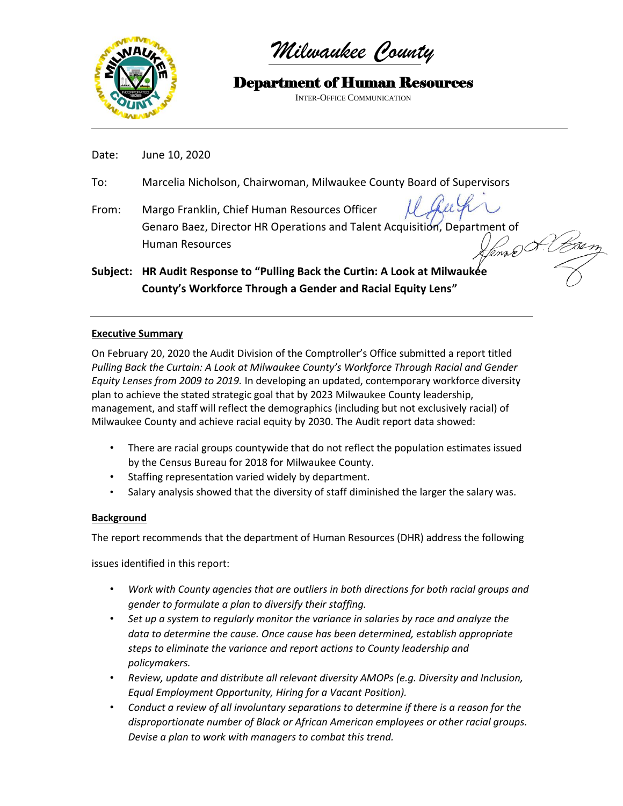

*Milwaukee County*

Department of Human Resources INTER-OFFICE COMMUNICATION

Date: June 10, 2020

- To: Marcelia Nicholson, Chairwoman, Milwaukee County Board of Supervisors
- From: Margo Franklin, Chief Human Resources Officer Genaro Baez, Director HR Operations and Talent Acquisition, Department of Human Resources

**Subject: HR Audit Response to "Pulling Back the Curtin: A Look at Milwaukee County's Workforce Through a Gender and Racial Equity Lens"**

# **Executive Summary**

On February 20, 2020 the Audit Division of the Comptroller's Office submitted a report titled *Pulling Back the Curtain: A Look at Milwaukee County's Workforce Through Racial and Gender Equity Lenses from 2009 to 2019.* In developing an updated, contemporary workforce diversity plan to achieve the stated strategic goal that by 2023 Milwaukee County leadership, management, and staff will reflect the demographics (including but not exclusively racial) of Milwaukee County and achieve racial equity by 2030. The Audit report data showed:

- There are racial groups countywide that do not reflect the population estimates issued by the Census Bureau for 2018 for Milwaukee County.
- Staffing representation varied widely by department.
- Salary analysis showed that the diversity of staff diminished the larger the salary was.

# **Background**

The report recommends that the department of Human Resources (DHR) address the following

issues identified in this report:

- *Work with County agencies that are outliers in both directions for both racial groups and gender to formulate a plan to diversify their staffing.*
- *Set up a system to regularly monitor the variance in salaries by race and analyze the data to determine the cause. Once cause has been determined, establish appropriate steps to eliminate the variance and report actions to County leadership and policymakers.*
- *Review, update and distribute all relevant diversity AMOPs (e.g. Diversity and Inclusion, Equal Employment Opportunity, Hiring for a Vacant Position).*
- *Conduct a review of all involuntary separations to determine if there is a reason for the disproportionate number of Black or African American employees or other racial groups. Devise a plan to work with managers to combat this trend.*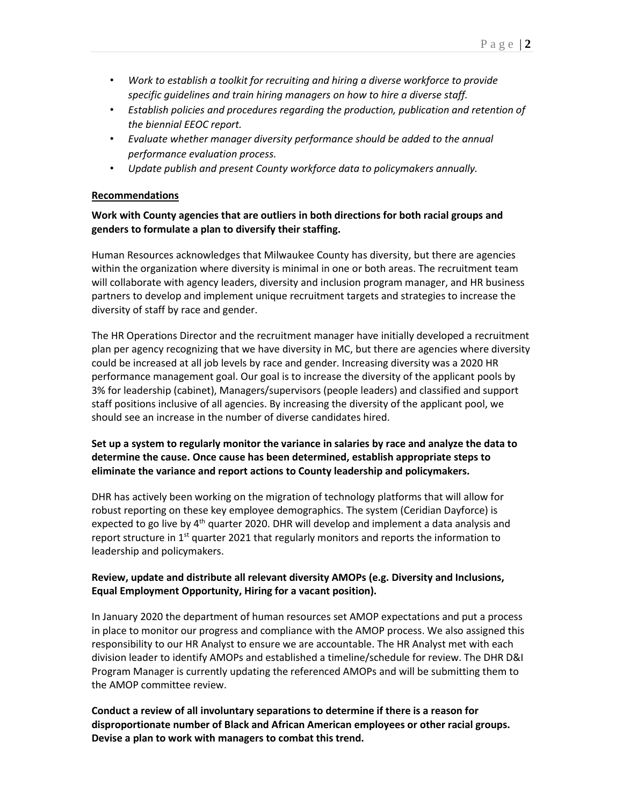- *Work to establish a toolkit for recruiting and hiring a diverse workforce to provide specific guidelines and train hiring managers on how to hire a diverse staff.*
- *Establish policies and procedures regarding the production, publication and retention of the biennial EEOC report.*
- *Evaluate whether manager diversity performance should be added to the annual performance evaluation process.*
- *Update publish and present County workforce data to policymakers annually.*

### **Recommendations**

# **Work with County agencies that are outliers in both directions for both racial groups and genders to formulate a plan to diversify their staffing.**

Human Resources acknowledges that Milwaukee County has diversity, but there are agencies within the organization where diversity is minimal in one or both areas. The recruitment team will collaborate with agency leaders, diversity and inclusion program manager, and HR business partners to develop and implement unique recruitment targets and strategies to increase the diversity of staff by race and gender.

The HR Operations Director and the recruitment manager have initially developed a recruitment plan per agency recognizing that we have diversity in MC, but there are agencies where diversity could be increased at all job levels by race and gender. Increasing diversity was a 2020 HR performance management goal. Our goal is to increase the diversity of the applicant pools by 3% for leadership (cabinet), Managers/supervisors (people leaders) and classified and support staff positions inclusive of all agencies. By increasing the diversity of the applicant pool, we should see an increase in the number of diverse candidates hired.

### **Set up a system to regularly monitor the variance in salaries by race and analyze the data to determine the cause. Once cause has been determined, establish appropriate steps to eliminate the variance and report actions to County leadership and policymakers.**

DHR has actively been working on the migration of technology platforms that will allow for robust reporting on these key employee demographics. The system (Ceridian Dayforce) is expected to go live by 4<sup>th</sup> quarter 2020. DHR will develop and implement a data analysis and report structure in  $1<sup>st</sup>$  quarter 2021 that regularly monitors and reports the information to leadership and policymakers.

## **Review, update and distribute all relevant diversity AMOPs (e.g. Diversity and Inclusions, Equal Employment Opportunity, Hiring for a vacant position).**

In January 2020 the department of human resources set AMOP expectations and put a process in place to monitor our progress and compliance with the AMOP process. We also assigned this responsibility to our HR Analyst to ensure we are accountable. The HR Analyst met with each division leader to identify AMOPs and established a timeline/schedule for review. The DHR D&I Program Manager is currently updating the referenced AMOPs and will be submitting them to the AMOP committee review.

**Conduct a review of all involuntary separations to determine if there is a reason for disproportionate number of Black and African American employees or other racial groups. Devise a plan to work with managers to combat this trend.**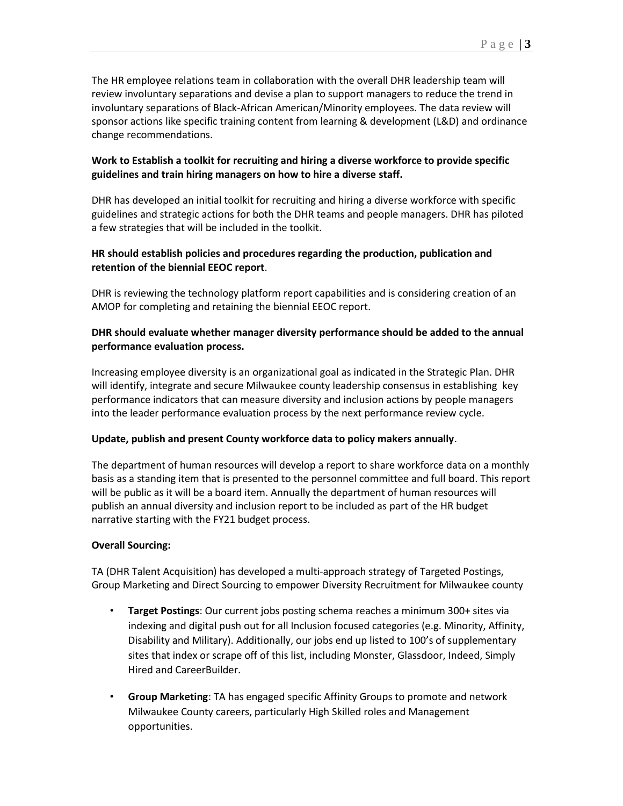The HR employee relations team in collaboration with the overall DHR leadership team will review involuntary separations and devise a plan to support managers to reduce the trend in involuntary separations of Black-African American/Minority employees. The data review will sponsor actions like specific training content from learning & development (L&D) and ordinance change recommendations.

## **Work to Establish a toolkit for recruiting and hiring a diverse workforce to provide specific guidelines and train hiring managers on how to hire a diverse staff.**

DHR has developed an initial toolkit for recruiting and hiring a diverse workforce with specific guidelines and strategic actions for both the DHR teams and people managers. DHR has piloted a few strategies that will be included in the toolkit.

## **HR should establish policies and procedures regarding the production, publication and retention of the biennial EEOC report**.

DHR is reviewing the technology platform report capabilities and is considering creation of an AMOP for completing and retaining the biennial EEOC report.

### **DHR should evaluate whether manager diversity performance should be added to the annual performance evaluation process.**

Increasing employee diversity is an organizational goal as indicated in the Strategic Plan. DHR will identify, integrate and secure Milwaukee county leadership consensus in establishing key performance indicators that can measure diversity and inclusion actions by people managers into the leader performance evaluation process by the next performance review cycle.

### **Update, publish and present County workforce data to policy makers annually**.

The department of human resources will develop a report to share workforce data on a monthly basis as a standing item that is presented to the personnel committee and full board. This report will be public as it will be a board item. Annually the department of human resources will publish an annual diversity and inclusion report to be included as part of the HR budget narrative starting with the FY21 budget process.

### **Overall Sourcing:**

TA (DHR Talent Acquisition) has developed a multi-approach strategy of Targeted Postings, Group Marketing and Direct Sourcing to empower Diversity Recruitment for Milwaukee county

- **Target Postings**: Our current jobs posting schema reaches a minimum 300+ sites via indexing and digital push out for all Inclusion focused categories (e.g. Minority, Affinity, Disability and Military). Additionally, our jobs end up listed to 100's of supplementary sites that index or scrape off of this list, including Monster, Glassdoor, Indeed, Simply Hired and CareerBuilder.
- **Group Marketing**: TA has engaged specific Affinity Groups to promote and network Milwaukee County careers, particularly High Skilled roles and Management opportunities.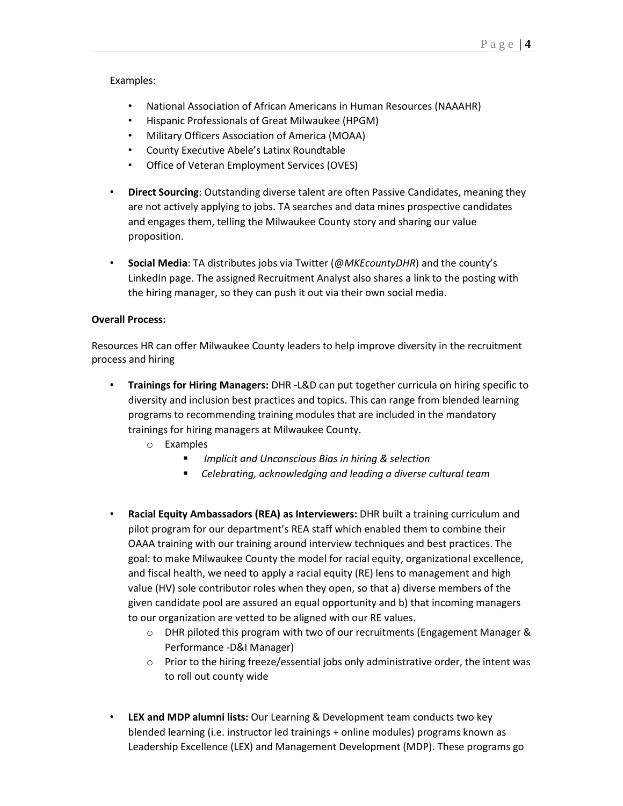#### Examples:

- National Association of African Americans in Human Resources (NAAAHR)
- Hispanic Professionals of Great Milwaukee (HPGM)
- Military Officers Association of America (MOAA)
- County Executive Abele's Latinx Roundtable
- Office of Veteran Employment Services (OVES)
- **Direct Sourcing**: Outstanding diverse talent are often Passive Candidates, meaning they are not actively applying to jobs. TA searches and data mines prospective candidates and engages them, telling the Milwaukee County story and sharing our value proposition.
- **Social Media**: TA distributes jobs via Twitter (@*MKEcountyDHR*) and the county's LinkedIn page. The assigned Recruitment Analyst also shares a link to the posting with the hiring manager, so they can push it out via their own social media.

### **Overall Process:**

Resources HR can offer Milwaukee County leaders to help improve diversity in the recruitment process and hiring

- **Trainings for Hiring Managers:** DHR -L&D can put together curricula on hiring specific to diversity and inclusion best practices and topics. This can range from blended learning programs to recommending training modules that are included in the mandatory trainings for hiring managers at Milwaukee County.
	- o Examples
		- *Implicit and Unconscious Bias in hiring & selection*
		- *Celebrating, acknowledging and leading a diverse cultural team*
- **Racial Equity Ambassadors (REA) as Interviewers:** DHR built a training curriculum and pilot program for our department's REA staff which enabled them to combine their OAAA training with our training around interview techniques and best practices. The goal: to make Milwaukee County the model for racial equity, organizational excellence, and fiscal health, we need to apply a racial equity (RE) lens to management and high value (HV) sole contributor roles when they open, so that a) diverse members of the given candidate pool are assured an equal opportunity and b) that incoming managers to our organization are vetted to be aligned with our RE values.
	- o DHR piloted this program with two of our recruitments (Engagement Manager & Performance -D&I Manager)
	- $\circ$  Prior to the hiring freeze/essential jobs only administrative order, the intent was to roll out county wide
- **LEX and MDP alumni lists:** Our Learning & Development team conducts two key blended learning (i.e. instructor led trainings + online modules) programs known as Leadership Excellence (LEX) and Management Development (MDP). These programs go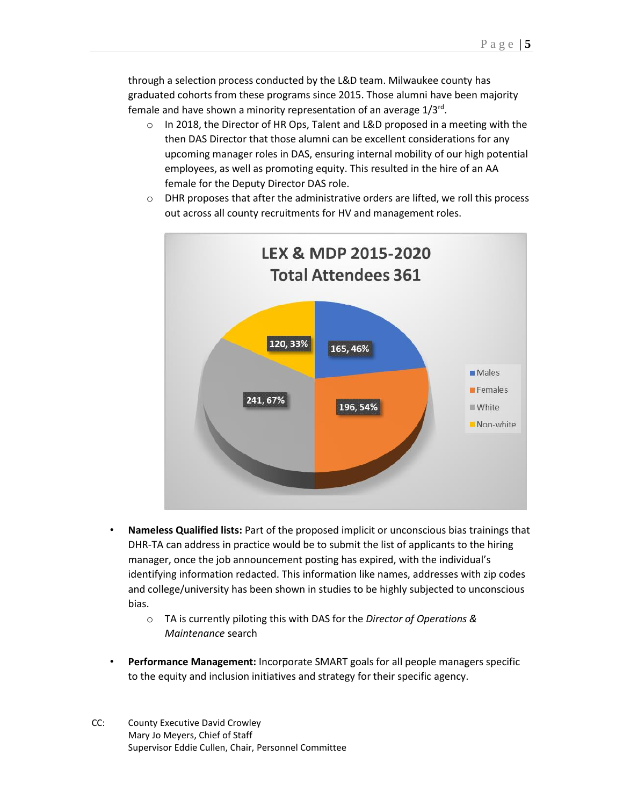through a selection process conducted by the L&D team. Milwaukee county has graduated cohorts from these programs since 2015. Those alumni have been majority female and have shown a minority representation of an average 1/3<sup>rd</sup>.

 $\circ$  In 2018, the Director of HR Ops, Talent and L&D proposed in a meeting with the then DAS Director that those alumni can be excellent considerations for any upcoming manager roles in DAS, ensuring internal mobility of our high potential employees, as well as promoting equity. This resulted in the hire of an AA female for the Deputy Director DAS role.



 $\circ$  DHR proposes that after the administrative orders are lifted, we roll this process out across all county recruitments for HV and management roles.

- **Nameless Qualified lists:** Part of the proposed implicit or unconscious bias trainings that DHR-TA can address in practice would be to submit the list of applicants to the hiring manager, once the job announcement posting has expired, with the individual's identifying information redacted. This information like names, addresses with zip codes and college/university has been shown in studies to be highly subjected to unconscious bias.
	- o TA is currently piloting this with DAS for the *Director of Operations & Maintenance* search
- **Performance Management:** Incorporate SMART goals for all people managers specific to the equity and inclusion initiatives and strategy for their specific agency.
- CC: County Executive David Crowley Mary Jo Meyers, Chief of Staff Supervisor Eddie Cullen, Chair, Personnel Committee